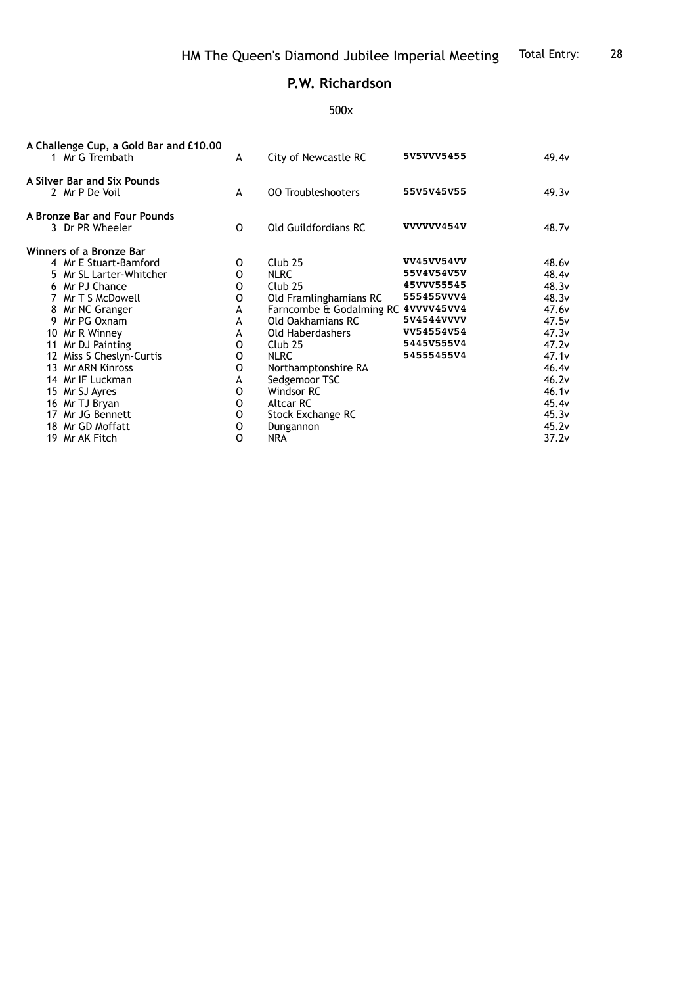## **P.W. Richardson**

## 500x

| A Challenge Cup, a Gold Bar and £10.00<br>1 Mr G Trembath | A           | City of Newcastle RC                | 5V5VVV5455        | 49.4v             |
|-----------------------------------------------------------|-------------|-------------------------------------|-------------------|-------------------|
| A Silver Bar and Six Pounds<br>2 Mr P De Voil             | A           | <b>00 Troubleshooters</b>           | 55V5V45V55        | 49.3v             |
| A Bronze Bar and Four Pounds                              |             |                                     | VVVVVV454V        |                   |
| 3 Dr PR Wheeler                                           | 0           | <b>Old Guildfordians RC</b>         |                   | 48.7 <sub>v</sub> |
| Winners of a Bronze Bar                                   |             |                                     |                   |                   |
| 4 Mr E Stuart-Bamford                                     | 0           | Club <sub>25</sub>                  | <b>VV45VV54VV</b> | 48.6 <sub>v</sub> |
| 5 Mr SL Larter-Whitcher                                   | O           | <b>NLRC</b>                         | 55V4V54V5V        | 48.4v             |
| 6 Mr PJ Chance                                            | O           | Club25                              | 45VVV55545        | 48.3v             |
| 7 Mr T S McDowell                                         | 0           | Old Framlinghamians RC              | 555455VVV4        | 48.3v             |
| 8 Mr NC Granger                                           | А           | Farncombe & Godalming RC 4VVVV45VV4 |                   | 47.6 <sub>v</sub> |
| 9 Mr PG Oxnam                                             | A           | Old Oakhamians RC                   | 5V4544VVVV        | 47.5v             |
| 10 Mr R Winney                                            | А           | Old Haberdashers                    | VV54554V54        | 47.3v             |
| 11 Mr DJ Painting                                         | 0           | Club <sub>25</sub>                  | 5445V555V4        | 47.2v             |
| 12 Miss S Cheslyn-Curtis                                  | O           | <b>NLRC</b>                         | 54555455V4        | 47.1v             |
| 13 Mr ARN Kinross                                         | O           | Northamptonshire RA                 |                   | 46.4v             |
| 14 Mr IF Luckman                                          | A           | Sedgemoor TSC                       |                   | 46.2v             |
| 15 Mr SJ Ayres                                            | 0           | Windsor RC                          |                   | 46.1v             |
| 16 Mr TJ Bryan                                            | 0           | Altcar RC                           |                   | 45.4v             |
| 17 Mr JG Bennett                                          | o           | Stock Exchange RC                   |                   | 45.3v             |
| 18 Mr GD Moffatt                                          | $\mathsf O$ | Dungannon                           |                   | 45.2v             |
| 19 Mr AK Fitch                                            | $\Omega$    | <b>NRA</b>                          |                   | 37.2v             |